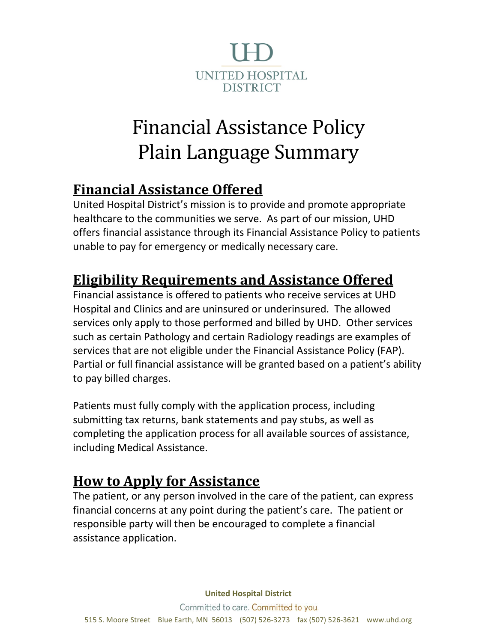

# Financial Assistance Policy Plain Language Summary

## **Financial Assistance Offered**

United Hospital District's mission is to provide and promote appropriate healthcare to the communities we serve. As part of our mission, UHD offers financial assistance through its Financial Assistance Policy to patients unable to pay for emergency or medically necessary care.

## **Eligibility Requirements and Assistance Offered**

Financial assistance is offered to patients who receive services at UHD Hospital and Clinics and are uninsured or underinsured. The allowed services only apply to those performed and billed by UHD. Other services such as certain Pathology and certain Radiology readings are examples of services that are not eligible under the Financial Assistance Policy (FAP). Partial or full financial assistance will be granted based on a patient's ability to pay billed charges.

Patients must fully comply with the application process, including submitting tax returns, bank statements and pay stubs, as well as completing the application process for all available sources of assistance, including Medical Assistance.

### **How to Apply for Assistance**

The patient, or any person involved in the care of the patient, can express financial concerns at any point during the patient's care. The patient or responsible party will then be encouraged to complete a financial assistance application.

**United Hospital District**